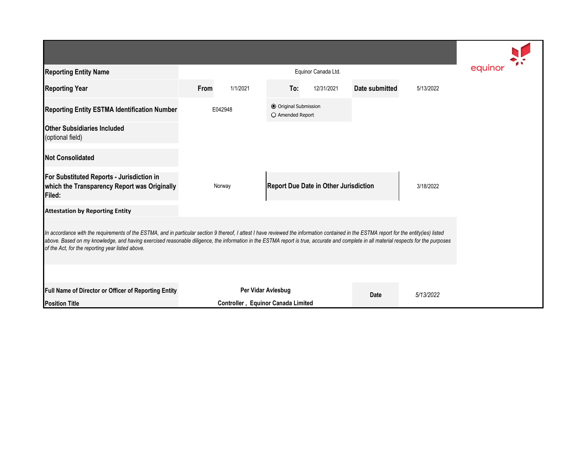| <b>Reporting Entity Name</b>                                                                                                                                                                                                                                                                                                                                                                                                          |                                    | equinor  |                                           |                                              |                |           |  |  |  |  |  |
|---------------------------------------------------------------------------------------------------------------------------------------------------------------------------------------------------------------------------------------------------------------------------------------------------------------------------------------------------------------------------------------------------------------------------------------|------------------------------------|----------|-------------------------------------------|----------------------------------------------|----------------|-----------|--|--|--|--|--|
| <b>Reporting Year</b>                                                                                                                                                                                                                                                                                                                                                                                                                 | From                               | 1/1/2021 | To:                                       | 12/31/2021                                   | Date submitted | 5/13/2022 |  |  |  |  |  |
| Reporting Entity ESTMA Identification Number                                                                                                                                                                                                                                                                                                                                                                                          | E042948                            |          | O Original Submission<br>O Amended Report |                                              |                |           |  |  |  |  |  |
| <b>Other Subsidiaries Included</b><br>(optional field)                                                                                                                                                                                                                                                                                                                                                                                |                                    |          |                                           |                                              |                |           |  |  |  |  |  |
| <b>Not Consolidated</b>                                                                                                                                                                                                                                                                                                                                                                                                               |                                    |          |                                           |                                              |                |           |  |  |  |  |  |
| For Substituted Reports - Jurisdiction in<br>which the Transparency Report was Originally<br>Filed:                                                                                                                                                                                                                                                                                                                                   |                                    | Norway   |                                           | <b>Report Due Date in Other Jurisdiction</b> |                | 3/18/2022 |  |  |  |  |  |
| <b>Attestation by Reporting Entity</b>                                                                                                                                                                                                                                                                                                                                                                                                |                                    |          |                                           |                                              |                |           |  |  |  |  |  |
| In accordance with the requirements of the ESTMA, and in particular section 9 thereof, I attest I have reviewed the information contained in the ESTMA report for the entity(ies) listed<br>above. Based on my knowledge, and having exercised reasonable diligence, the information in the ESTMA report is true, accurate and complete in all material respects for the purposes<br>of the Act, for the reporting year listed above. |                                    |          |                                           |                                              |                |           |  |  |  |  |  |
| Full Name of Director or Officer of Reporting Entity                                                                                                                                                                                                                                                                                                                                                                                  |                                    |          | Per Vidar Avlesbug                        |                                              |                |           |  |  |  |  |  |
| <b>Position Title</b>                                                                                                                                                                                                                                                                                                                                                                                                                 | Controller, Equinor Canada Limited |          |                                           |                                              | Date           | 5/13/2022 |  |  |  |  |  |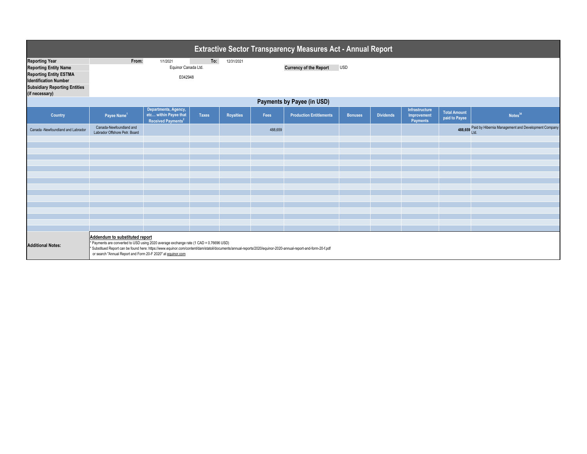| <b>Extractive Sector Transparency Measures Act - Annual Report</b>                                                                                             |                                                                                                                                                                                                                                                                                                                                                          |                                                                                 |                   |                                             |         |                                |                |                  |                                                  |                                      |                                                             |  |
|----------------------------------------------------------------------------------------------------------------------------------------------------------------|----------------------------------------------------------------------------------------------------------------------------------------------------------------------------------------------------------------------------------------------------------------------------------------------------------------------------------------------------------|---------------------------------------------------------------------------------|-------------------|---------------------------------------------|---------|--------------------------------|----------------|------------------|--------------------------------------------------|--------------------------------------|-------------------------------------------------------------|--|
| <b>Reporting Year</b><br><b>Reporting Entity Name</b><br><b>Reporting Entity ESTMA</b><br><b>Identification Number</b><br><b>Subsidiary Reporting Entities</b> | From:                                                                                                                                                                                                                                                                                                                                                    | 1/1/2021<br>Equinor Canada Ltd.<br>E042948                                      | To:<br>12/31/2021 | <b>Currency of the Report</b><br><b>USD</b> |         |                                |                |                  |                                                  |                                      |                                                             |  |
| (if necessary)                                                                                                                                                 | Payments by Payee (in USD)                                                                                                                                                                                                                                                                                                                               |                                                                                 |                   |                                             |         |                                |                |                  |                                                  |                                      |                                                             |  |
| <b>Country</b>                                                                                                                                                 | Payee Name <sup>1</sup>                                                                                                                                                                                                                                                                                                                                  | Departments, Agency,<br>etc within Payee that<br>Received Payments <sup>2</sup> | <b>Taxes</b>      | <b>Royalties</b>                            | Fees    | <b>Production Entitlements</b> | <b>Bonuses</b> | <b>Dividends</b> | Infrastructure<br>Improvement<br><b>Payments</b> | <b>Total Amount</b><br>paid to Payee | Notes <sup>34</sup>                                         |  |
| Canada -Newfoundland and Labrador                                                                                                                              | Canada-Newfoundland and<br>Labrador Offshore Petr. Board                                                                                                                                                                                                                                                                                                 |                                                                                 |                   |                                             | 488,659 |                                |                |                  |                                                  | 488,659                              | Paid by Hibernia Management and Development Company<br>Ltd. |  |
|                                                                                                                                                                |                                                                                                                                                                                                                                                                                                                                                          |                                                                                 |                   |                                             |         |                                |                |                  |                                                  |                                      |                                                             |  |
|                                                                                                                                                                |                                                                                                                                                                                                                                                                                                                                                          |                                                                                 |                   |                                             |         |                                |                |                  |                                                  |                                      |                                                             |  |
|                                                                                                                                                                |                                                                                                                                                                                                                                                                                                                                                          |                                                                                 |                   |                                             |         |                                |                |                  |                                                  |                                      |                                                             |  |
|                                                                                                                                                                |                                                                                                                                                                                                                                                                                                                                                          |                                                                                 |                   |                                             |         |                                |                |                  |                                                  |                                      |                                                             |  |
|                                                                                                                                                                |                                                                                                                                                                                                                                                                                                                                                          |                                                                                 |                   |                                             |         |                                |                |                  |                                                  |                                      |                                                             |  |
|                                                                                                                                                                |                                                                                                                                                                                                                                                                                                                                                          |                                                                                 |                   |                                             |         |                                |                |                  |                                                  |                                      |                                                             |  |
|                                                                                                                                                                |                                                                                                                                                                                                                                                                                                                                                          |                                                                                 |                   |                                             |         |                                |                |                  |                                                  |                                      |                                                             |  |
|                                                                                                                                                                |                                                                                                                                                                                                                                                                                                                                                          |                                                                                 |                   |                                             |         |                                |                |                  |                                                  |                                      |                                                             |  |
|                                                                                                                                                                |                                                                                                                                                                                                                                                                                                                                                          |                                                                                 |                   |                                             |         |                                |                |                  |                                                  |                                      |                                                             |  |
|                                                                                                                                                                |                                                                                                                                                                                                                                                                                                                                                          |                                                                                 |                   |                                             |         |                                |                |                  |                                                  |                                      |                                                             |  |
|                                                                                                                                                                |                                                                                                                                                                                                                                                                                                                                                          |                                                                                 |                   |                                             |         |                                |                |                  |                                                  |                                      |                                                             |  |
| <b>Additional Notes:</b>                                                                                                                                       | Addendum to substituted report<br>* Payments are converted to USD using 2020 average exchange rate (1 CAD = 0.76696 USD)<br>* Substitued Report can be found here: https://www.equinor.com/content/dam/statoil/documents/annual-reports/2020/equinor-2020-annual-report-and-form-20-f.pdf<br>or search "Annual Report and Form 20-F 2020" at equinor.com |                                                                                 |                   |                                             |         |                                |                |                  |                                                  |                                      |                                                             |  |